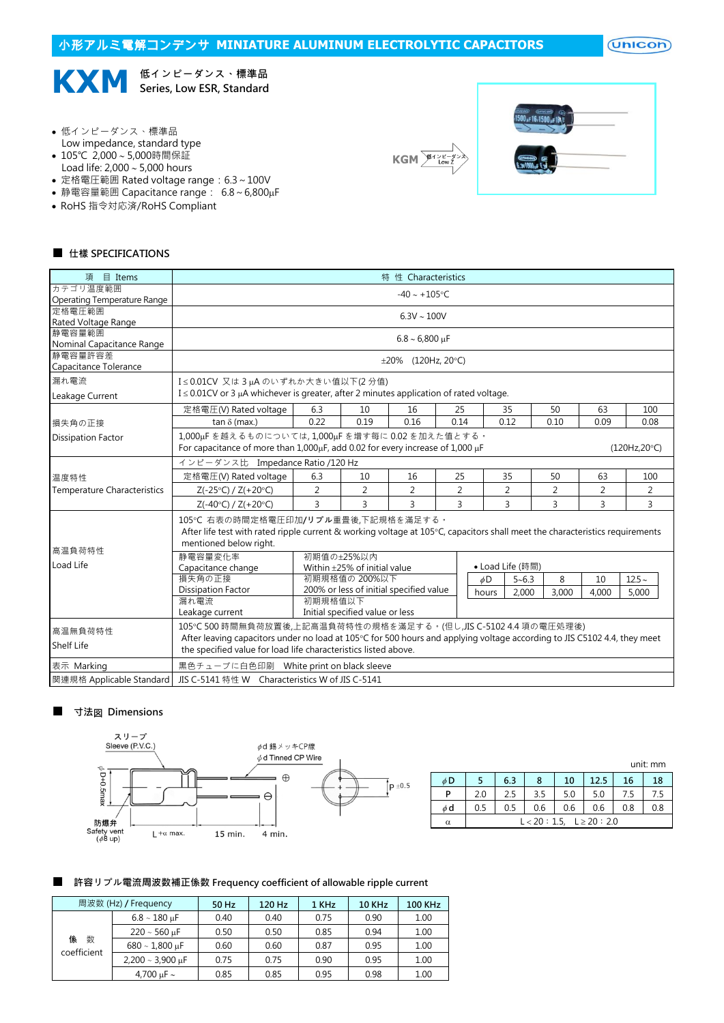## 小形アルミ電解コンデンサ **MINIATURE ALUMINUM ELECTROLYTIC CAPACITORS**

 $($ Unicon $)$ 



- 低インピーダンス、標準品
- Low impedance, standard type
- 105℃ 2,000~5,000時間保証
- Load life:  $2,000 \sim 5,000$  hours
- 定格電圧範囲 Rated voltage range:6.3~100V • 静電容量範囲 Capacitance range: 6.8~6,800µF
- 
- RoHS 指令対応済/RoHS Compliant





#### ■ 仕樣 SPECIFICATIONS

| 項 目 Items                             |                                                                                                                                                                                                                                                                                    |                                                                                                                                |                                                 | 特 性 Characteristics      |                |       |                  |       |       |                |  |
|---------------------------------------|------------------------------------------------------------------------------------------------------------------------------------------------------------------------------------------------------------------------------------------------------------------------------------|--------------------------------------------------------------------------------------------------------------------------------|-------------------------------------------------|--------------------------|----------------|-------|------------------|-------|-------|----------------|--|
| カテゴリ温度範囲                              |                                                                                                                                                                                                                                                                                    |                                                                                                                                |                                                 | $-40 \sim +105$ °C       |                |       |                  |       |       |                |  |
| Operating Temperature Range<br>定格雷圧範囲 |                                                                                                                                                                                                                                                                                    |                                                                                                                                |                                                 |                          |                |       |                  |       |       |                |  |
| Rated Voltage Range                   |                                                                                                                                                                                                                                                                                    |                                                                                                                                |                                                 | $6.3V \sim 100V$         |                |       |                  |       |       |                |  |
| 静雷容量範囲                                |                                                                                                                                                                                                                                                                                    |                                                                                                                                |                                                 |                          |                |       |                  |       |       |                |  |
| Nominal Capacitance Range             |                                                                                                                                                                                                                                                                                    | $6.8 \sim 6,800 \text{ µF}$                                                                                                    |                                                 |                          |                |       |                  |       |       |                |  |
| 静電容量許容差<br>Capacitance Tolerance      |                                                                                                                                                                                                                                                                                    |                                                                                                                                |                                                 | $\pm 20\%$ (120Hz, 20°C) |                |       |                  |       |       |                |  |
| 漏れ電流                                  |                                                                                                                                                                                                                                                                                    | I≤0.01CV 又は3µAのいずれか大きい値以下(2分値)<br>$I \leq 0.01$ CV or 3 µA whichever is greater, after 2 minutes application of rated voltage. |                                                 |                          |                |       |                  |       |       |                |  |
| Leakage Current                       |                                                                                                                                                                                                                                                                                    |                                                                                                                                |                                                 |                          |                |       |                  |       |       |                |  |
|                                       | 定格電圧(V) Rated voltage                                                                                                                                                                                                                                                              | 6.3                                                                                                                            | 10                                              | 16                       | 25             |       | 35               | 50    | 63    | 100            |  |
| 損失角の正接                                | tan $\delta$ (max.)                                                                                                                                                                                                                                                                | 0.22                                                                                                                           | 0.19                                            | 0.16                     |                |       |                  | 0.10  | 0.09  | 0.08           |  |
| <b>Dissipation Factor</b>             | 0.14<br>0.12<br>1,000uFを越えるものについては,1,000uFを増す每に0.02を加えた値とする。<br>For capacitance of more than 1,000 <sub>H</sub> F, add 0.02 for every increase of 1,000 µF<br>(120Hz.20°C)<br>インピーダンス比 Impedance Ratio /120 Hz<br>定格電圧(V) Rated voltage<br>6.3<br>35<br>10<br>16<br>25<br>50<br>63 |                                                                                                                                |                                                 |                          |                |       |                  |       |       |                |  |
|                                       |                                                                                                                                                                                                                                                                                    |                                                                                                                                |                                                 |                          |                |       |                  |       |       |                |  |
| 温度特性                                  |                                                                                                                                                                                                                                                                                    |                                                                                                                                |                                                 |                          |                |       |                  |       |       | 100            |  |
| <b>Temperature Characteristics</b>    | $Z(-25°C) / Z(+20°C)$                                                                                                                                                                                                                                                              | $\overline{2}$                                                                                                                 | 2                                               | $\overline{2}$           | $\overline{2}$ |       | 2                | 2     | 2     | $\overline{2}$ |  |
|                                       | $Z(-40^{\circ}C) / Z(+20^{\circ}C)$                                                                                                                                                                                                                                                | 3                                                                                                                              | 3                                               | 3                        | $\overline{3}$ |       | 3                | 3     | 3     | 3              |  |
| 高温負荷特性                                | 105℃ 右表の時間定格電圧印加/リプル重畳後,下記規格を滿足する。<br>After life test with rated ripple current & working voltage at 105°C, capacitors shall meet the characteristics requirements<br>mentioned below right.                                                                                       |                                                                                                                                |                                                 |                          |                |       |                  |       |       |                |  |
| Load Life                             | 静電容量変化率<br>Capacitance change                                                                                                                                                                                                                                                      |                                                                                                                                | 初期值の±25%以内<br>Within $\pm$ 25% of initial value |                          |                |       | • Load Life (時間) |       |       |                |  |
|                                       | 損失角の正接                                                                                                                                                                                                                                                                             |                                                                                                                                | 初期規格值の 200%以下                                   |                          |                | øD    | $5 - 6.3$        | 8     | 10    | $12.5 -$       |  |
|                                       | Dissipation Factor                                                                                                                                                                                                                                                                 |                                                                                                                                | 200% or less of initial specified value         |                          |                | hours | 2,000            | 3,000 | 4,000 | 5,000          |  |
|                                       | 漏れ電流<br>Leakage current                                                                                                                                                                                                                                                            | 初期規格值以下                                                                                                                        | Initial specified value or less                 |                          |                |       |                  |       |       |                |  |
| 高温無負荷特性                               | 105℃ 500 時間無負荷放置後,上記高温負荷特性の規格を滿足する。(但し,JIS C-5102 4.4 項の電圧処理後)                                                                                                                                                                                                                     |                                                                                                                                |                                                 |                          |                |       |                  |       |       |                |  |
| <b>Shelf Life</b>                     | After leaving capacitors under no load at 105°C for 500 hours and applying voltage according to JIS C5102 4.4, they meet<br>the specified value for load life characteristics listed above.                                                                                        |                                                                                                                                |                                                 |                          |                |       |                  |       |       |                |  |
| 表示 Marking                            | 黒色チューブに白色印刷 White print on black sleeve                                                                                                                                                                                                                                            |                                                                                                                                |                                                 |                          |                |       |                  |       |       |                |  |
| 関連規格 Applicable Standard              | JIS C-5141 特性 W Characteristics W of JIS C-5141                                                                                                                                                                                                                                    |                                                                                                                                |                                                 |                          |                |       |                  |       |       |                |  |

#### ■ 寸法図 Dimensions



|          | unit: mm                       |     |     |     |      |     |     |  |
|----------|--------------------------------|-----|-----|-----|------|-----|-----|--|
| $\phi$ D |                                | 6.3 | 8   | 10  | 12.5 | 16  | 18  |  |
| P        | 2.0                            | 2.5 | 3.5 | 5.0 | 5.0  | 7.5 | 7.5 |  |
| $\phi$ d | 0.5                            | 0.5 | 0.6 | 0.6 | 0.6  | 0.8 | 0.8 |  |
| α        | $L < 20 : 1.5, L \ge 20 : 2.0$ |     |     |     |      |     |     |  |

#### ■ 許容リプル電流周波数補正係数 Frequency coefficient of allowable ripple current

|                       | 周波数 (Hz) / Frequency                      | 50 Hz | 120 Hz | 1 KHz | 10 KHz | <b>100 KHz</b> |
|-----------------------|-------------------------------------------|-------|--------|-------|--------|----------------|
|                       | $6.8 \sim 180 \,\mu F$                    | 0.40  | 0.40   | 0.75  | 0.90   | 1.00           |
|                       | 0.50<br>$220 \sim 560 \text{ µF}$<br>0.50 | 0.85  | 0.94   | 1.00  |        |                |
| 係<br>数<br>coefficient | $680 \sim 1,800 \,\mu F$                  | 0.60  | 0.60   | 0.87  | 0.95   | 1.00           |
|                       | $2,200 \sim 3,900 \text{ µF}$             | 0.75  | 0.75   | 0.90  | 0.95   | 1.00           |
|                       | 4,700 $\mu$ F ~                           | 0.85  | 0.85   | 0.95  | 0.98   | 1.00           |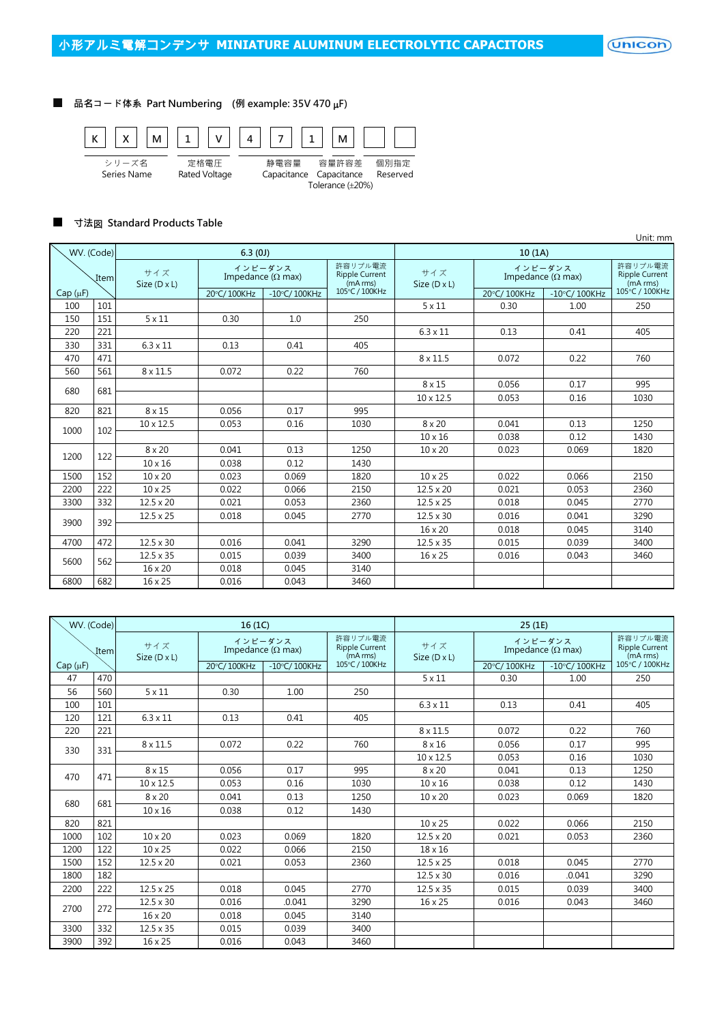(Unicon)

### ■ 品名コード体系 Part Numbering (例 example: 35V 470 µF)



#### ■ 寸法図 Standard Products Table

|              |     |                     |                                      |                 |                                              |                     |                                      |                                              | Unit: mm       |
|--------------|-----|---------------------|--------------------------------------|-----------------|----------------------------------------------|---------------------|--------------------------------------|----------------------------------------------|----------------|
| WV. (Code)   |     |                     | 6.3(0)                               |                 |                                              |                     |                                      |                                              |                |
| Item         |     | サイズ<br>Size (D x L) | インピーダンス<br>Impedance ( $\Omega$ max) |                 | 許容リプル電流<br><b>Ripple Current</b><br>(mA rms) | サイズ<br>Size (D x L) | インピーダンス<br>Impedance ( $\Omega$ max) | 許容リプル雷流<br><b>Ripple Current</b><br>(mA rms) |                |
| $Cap(\mu F)$ |     |                     | 20°C/100KHz                          | $-10$ °C/100KHz | 105°C / 100KHz                               |                     | 20°C/100KHz                          | $-10^{\circ}$ C/100KHz                       | 105°C / 100KHz |
| 100          | 101 |                     |                                      |                 |                                              | $5 \times 11$       | 0.30                                 | 1.00                                         | 250            |
| 150          | 151 | $5 \times 11$       | 0.30                                 | 1.0             | 250                                          |                     |                                      |                                              |                |
| 220          | 221 |                     |                                      |                 |                                              | $6.3 \times 11$     | 0.13                                 | 0.41                                         | 405            |
| 330          | 331 | $6.3 \times 11$     | 0.13                                 | 0.41            | 405                                          |                     |                                      |                                              |                |
| 470          | 471 |                     |                                      |                 |                                              | $8 \times 11.5$     | 0.072                                | 0.22                                         | 760            |
| 560          | 561 | 8 x 11.5            | 0.072                                | 0.22            | 760                                          |                     |                                      |                                              |                |
| 680          | 681 |                     |                                      |                 |                                              | $8 \times 15$       | 0.056                                | 0.17                                         | 995            |
|              |     |                     |                                      |                 |                                              | $10 \times 12.5$    | 0.053                                | 0.16                                         | 1030           |
| 820          | 821 | $8 \times 15$       | 0.056                                | 0.17            | 995                                          |                     |                                      |                                              |                |
| 1000         | 102 | $10 \times 12.5$    | 0.053                                | 0.16            | 1030                                         | $8 \times 20$       | 0.041                                | 0.13                                         | 1250           |
|              |     |                     |                                      |                 |                                              | 10 x 16             | 0.038                                | 0.12                                         | 1430           |
| 1200         |     | $8 \times 20$       | 0.041                                | 0.13            | 1250                                         | $10 \times 20$      | 0.023                                | 0.069                                        | 1820           |
|              | 122 | $10 \times 16$      | 0.038                                | 0.12            | 1430                                         |                     |                                      |                                              |                |
| 1500         | 152 | $10 \times 20$      | 0.023                                | 0.069           | 1820                                         | $10 \times 25$      | 0.022                                | 0.066                                        | 2150           |
| 2200         | 222 | $10 \times 25$      | 0.022                                | 0.066           | 2150                                         | $12.5 \times 20$    | 0.021                                | 0.053                                        | 2360           |
| 3300         | 332 | $12.5 \times 20$    | 0.021                                | 0.053           | 2360                                         | $12.5 \times 25$    | 0.018                                | 0.045                                        | 2770           |
|              |     | $12.5 \times 25$    | 0.018                                | 0.045           | 2770                                         | $12.5 \times 30$    | 0.016                                | 0.041                                        | 3290           |
| 3900         | 392 |                     |                                      |                 |                                              | 16 x 20             | 0.018                                | 0.045                                        | 3140           |
| 4700         | 472 | $12.5 \times 30$    | 0.016                                | 0.041           | 3290                                         | $12.5 \times 35$    | 0.015                                | 0.039                                        | 3400           |
|              |     | $12.5 \times 35$    | 0.015                                | 0.039           | 3400                                         | 16 x 25             | 0.016                                | 0.043                                        | 3460           |
| 5600         | 562 | 16 x 20             | 0.018                                | 0.045           | 3140                                         |                     |                                      |                                              |                |
| 6800         | 682 | 16 x 25             | 0.016                                | 0.043           | 3460                                         |                     |                                      |                                              |                |

| WV. (Code)    |     |                     | 16(1C)                               |                 |                                              |                            | 25(1E)                               |                                              |                |
|---------------|-----|---------------------|--------------------------------------|-----------------|----------------------------------------------|----------------------------|--------------------------------------|----------------------------------------------|----------------|
| Item          |     | サイズ<br>Size (D x L) | インピーダンス<br>Impedance ( $\Omega$ max) |                 | 許容リプル電流<br><b>Ripple Current</b><br>(mA rms) | サイズ<br>Size $(D \times L)$ | インピーダンス<br>Impedance ( $\Omega$ max) | 許容リプル雷流<br><b>Ripple Current</b><br>(mA rms) |                |
| Cap $(\mu F)$ |     |                     | 20°C/100KHz                          | $-10$ °C/100KHz | 105°C / 100KHz                               |                            | 20°C/100KHz                          | $-10\degree$ C/100KHz                        | 105°C / 100KHz |
| 47            | 470 |                     |                                      |                 |                                              | $5 \times 11$              | 0.30                                 | 1.00                                         | 250            |
| 56            | 560 | $5 \times 11$       | 0.30                                 | 1.00            | 250                                          |                            |                                      |                                              |                |
| 100           | 101 |                     |                                      |                 |                                              | $6.3 \times 11$            | 0.13                                 | 0.41                                         | 405            |
| 120           | 121 | $6.3 \times 11$     | 0.13                                 | 0.41            | 405                                          |                            |                                      |                                              |                |
| 220           | 221 |                     |                                      |                 |                                              | $8 \times 11.5$            | 0.072                                | 0.22                                         | 760            |
|               |     | $8 \times 11.5$     | 0.072                                | 0.22            | 760                                          | $8 \times 16$              | 0.056                                | 0.17                                         | 995            |
| 330           | 331 |                     |                                      |                 |                                              | 10 x 12.5                  | 0.053                                | 0.16                                         | 1030           |
| 470           | 471 | $8 \times 15$       | 0.056                                | 0.17            | 995                                          | $8 \times 20$              | 0.041                                | 0.13                                         | 1250           |
|               |     | 10 x 12.5           | 0.053                                | 0.16            | 1030                                         | $10 \times 16$             | 0.038                                | 0.12                                         | 1430           |
|               |     | $8 \times 20$       | 0.041                                | 0.13            | 1250                                         | 10 x 20                    | 0.023                                | 0.069                                        | 1820           |
| 680           | 681 | $10 \times 16$      | 0.038                                | 0.12            | 1430                                         |                            |                                      |                                              |                |
| 820           | 821 |                     |                                      |                 |                                              | 10 x 25                    | 0.022                                | 0.066                                        | 2150           |
| 1000          | 102 | $10 \times 20$      | 0.023                                | 0.069           | 1820                                         | $12.5 \times 20$           | 0.021                                | 0.053                                        | 2360           |
| 1200          | 122 | $10 \times 25$      | 0.022                                | 0.066           | 2150                                         | $18 \times 16$             |                                      |                                              |                |
| 1500          | 152 | $12.5 \times 20$    | 0.021                                | 0.053           | 2360                                         | $12.5 \times 25$           | 0.018                                | 0.045                                        | 2770           |
| 1800          | 182 |                     |                                      |                 |                                              | $12.5 \times 30$           | 0.016                                | .0.041                                       | 3290           |
| 2200          | 222 | $12.5 \times 25$    | 0.018                                | 0.045           | 2770                                         | $12.5 \times 35$           | 0.015                                | 0.039                                        | 3400           |
|               |     | $12.5 \times 30$    | 0.016                                | .0.041          | 3290                                         | 16 x 25                    | 0.016                                | 0.043                                        | 3460           |
| 2700          | 272 | $16 \times 20$      | 0.018                                | 0.045           | 3140                                         |                            |                                      |                                              |                |
| 3300          | 332 | $12.5 \times 35$    | 0.015                                | 0.039           | 3400                                         |                            |                                      |                                              |                |
| 3900          | 392 | 16 x 25             | 0.016                                | 0.043           | 3460                                         |                            |                                      |                                              |                |